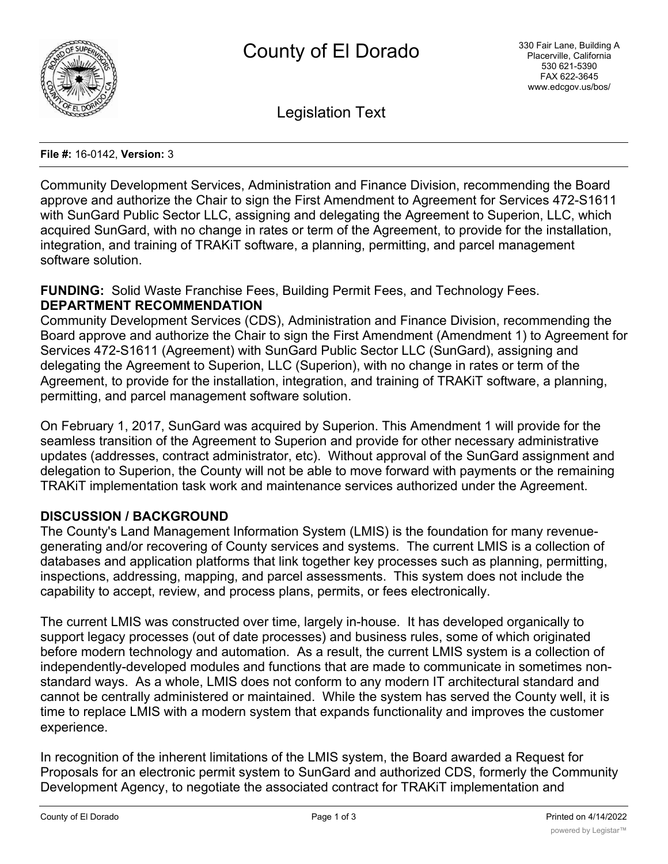

Legislation Text

#### **File #:** 16-0142, **Version:** 3

Community Development Services, Administration and Finance Division, recommending the Board approve and authorize the Chair to sign the First Amendment to Agreement for Services 472-S1611 with SunGard Public Sector LLC, assigning and delegating the Agreement to Superion, LLC, which acquired SunGard, with no change in rates or term of the Agreement, to provide for the installation, integration, and training of TRAKiT software, a planning, permitting, and parcel management software solution.

# **FUNDING:** Solid Waste Franchise Fees, Building Permit Fees, and Technology Fees. **DEPARTMENT RECOMMENDATION**

Community Development Services (CDS), Administration and Finance Division, recommending the Board approve and authorize the Chair to sign the First Amendment (Amendment 1) to Agreement for Services 472-S1611 (Agreement) with SunGard Public Sector LLC (SunGard), assigning and delegating the Agreement to Superion, LLC (Superion), with no change in rates or term of the Agreement, to provide for the installation, integration, and training of TRAKiT software, a planning, permitting, and parcel management software solution.

On February 1, 2017, SunGard was acquired by Superion. This Amendment 1 will provide for the seamless transition of the Agreement to Superion and provide for other necessary administrative updates (addresses, contract administrator, etc). Without approval of the SunGard assignment and delegation to Superion, the County will not be able to move forward with payments or the remaining TRAKiT implementation task work and maintenance services authorized under the Agreement.

# **DISCUSSION / BACKGROUND**

The County's Land Management Information System (LMIS) is the foundation for many revenuegenerating and/or recovering of County services and systems. The current LMIS is a collection of databases and application platforms that link together key processes such as planning, permitting, inspections, addressing, mapping, and parcel assessments. This system does not include the capability to accept, review, and process plans, permits, or fees electronically.

The current LMIS was constructed over time, largely in-house. It has developed organically to support legacy processes (out of date processes) and business rules, some of which originated before modern technology and automation. As a result, the current LMIS system is a collection of independently-developed modules and functions that are made to communicate in sometimes nonstandard ways. As a whole, LMIS does not conform to any modern IT architectural standard and cannot be centrally administered or maintained. While the system has served the County well, it is time to replace LMIS with a modern system that expands functionality and improves the customer experience.

In recognition of the inherent limitations of the LMIS system, the Board awarded a Request for Proposals for an electronic permit system to SunGard and authorized CDS, formerly the Community Development Agency, to negotiate the associated contract for TRAKiT implementation and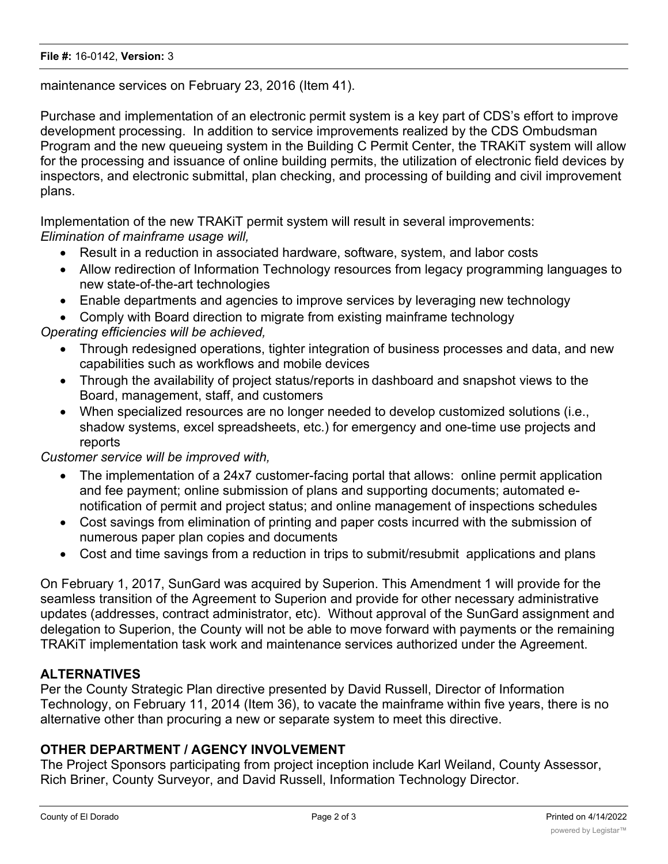maintenance services on February 23, 2016 (Item 41).

Purchase and implementation of an electronic permit system is a key part of CDS's effort to improve development processing. In addition to service improvements realized by the CDS Ombudsman Program and the new queueing system in the Building C Permit Center, the TRAKiT system will allow for the processing and issuance of online building permits, the utilization of electronic field devices by inspectors, and electronic submittal, plan checking, and processing of building and civil improvement plans.

Implementation of the new TRAKiT permit system will result in several improvements: *Elimination of mainframe usage will,*

- · Result in a reduction in associated hardware, software, system, and labor costs
- · Allow redirection of Information Technology resources from legacy programming languages to new state-of-the-art technologies
- · Enable departments and agencies to improve services by leveraging new technology
- Comply with Board direction to migrate from existing mainframe technology

# *Operating efficiencies will be achieved,*

- · Through redesigned operations, tighter integration of business processes and data, and new capabilities such as workflows and mobile devices
- · Through the availability of project status/reports in dashboard and snapshot views to the Board, management, staff, and customers
- · When specialized resources are no longer needed to develop customized solutions (i.e., shadow systems, excel spreadsheets, etc.) for emergency and one-time use projects and reports

# *Customer service will be improved with,*

- The implementation of a 24x7 customer-facing portal that allows: online permit application and fee payment; online submission of plans and supporting documents; automated enotification of permit and project status; and online management of inspections schedules
- · Cost savings from elimination of printing and paper costs incurred with the submission of numerous paper plan copies and documents
- · Cost and time savings from a reduction in trips to submit/resubmit applications and plans

On February 1, 2017, SunGard was acquired by Superion. This Amendment 1 will provide for the seamless transition of the Agreement to Superion and provide for other necessary administrative updates (addresses, contract administrator, etc). Without approval of the SunGard assignment and delegation to Superion, the County will not be able to move forward with payments or the remaining TRAKiT implementation task work and maintenance services authorized under the Agreement.

# **ALTERNATIVES**

Per the County Strategic Plan directive presented by David Russell, Director of Information Technology, on February 11, 2014 (Item 36), to vacate the mainframe within five years, there is no alternative other than procuring a new or separate system to meet this directive.

# **OTHER DEPARTMENT / AGENCY INVOLVEMENT**

The Project Sponsors participating from project inception include Karl Weiland, County Assessor, Rich Briner, County Surveyor, and David Russell, Information Technology Director.